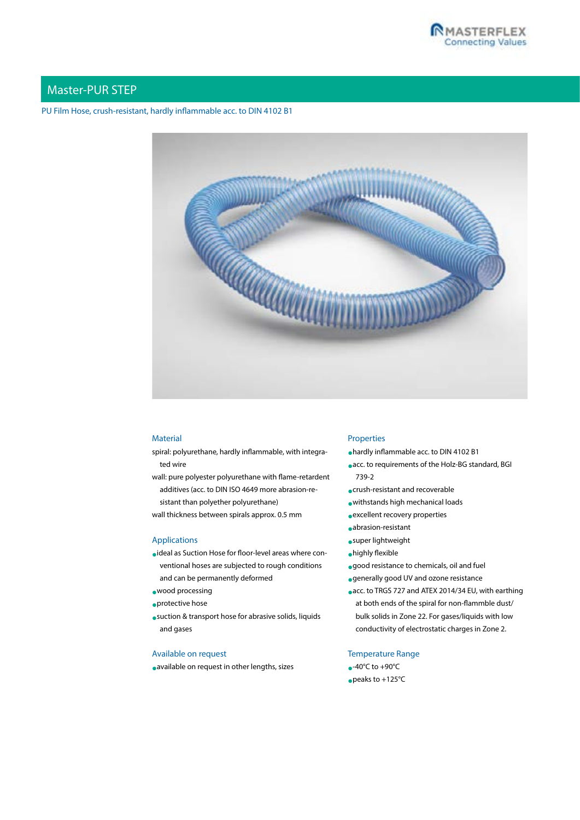

## Master-PUR STEP

## PU Film Hose, crush-resistant, hardly inflammable acc. to DIN 4102 B1



#### **Material**

- spiral: polyurethane, hardly inflammable, with integrated wire
- wall: pure polyester polyurethane with flame-retardent additives (acc. to DIN ISO 4649 more abrasion-resistant than polyether polyurethane)
- wall thickness between spirals approx. 0.5 mm

#### Applications

- •ideal as Suction Hose for floor-level areas where conventional hoses are subjected to rough conditions and can be permanently deformed
- •wood processing
- •protective hose
- •suction & transport hose for abrasive solids, liquids and gases

## Available on request

•available on request in other lengths, sizes

#### Properties

- •hardly inflammable acc. to DIN 4102 B1
- •acc. to requirements of the Holz-BG standard, BGI 739-2
- •crush-resistant and recoverable
- •withstands high mechanical loads
- •excellent recovery properties
- •abrasion-resistant
- •super lightweight
- •highly flexible
- •good resistance to chemicals, oil and fuel
- •generally good UV and ozone resistance
- •acc. to TRGS 727 and ATEX 2014/34 EU, with earthing at both ends of the spiral for non-flammble dust/ bulk solids in Zone 22. For gases/liquids with low conductivity of electrostatic charges in Zone 2.

## Temperature Range

 $\bullet$ -40°C to +90°C •peaks to +125°C